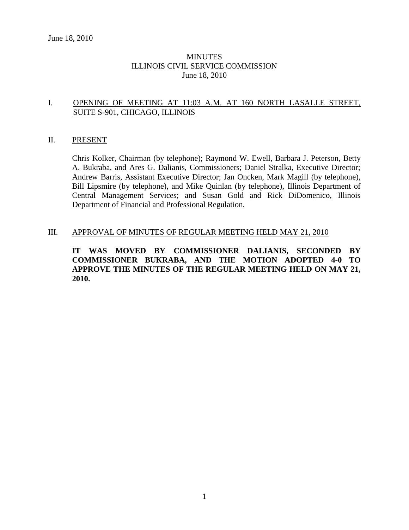### **MINUTES** ILLINOIS CIVIL SERVICE COMMISSION June 18, 2010

### I. OPENING OF MEETING AT 11:03 A.M. AT 160 NORTH LASALLE STREET, SUITE S-901, CHICAGO, ILLINOIS

#### II. PRESENT

Chris Kolker, Chairman (by telephone); Raymond W. Ewell, Barbara J. Peterson, Betty A. Bukraba, and Ares G. Dalianis, Commissioners; Daniel Stralka, Executive Director; Andrew Barris, Assistant Executive Director; Jan Oncken, Mark Magill (by telephone), Bill Lipsmire (by telephone), and Mike Quinlan (by telephone), Illinois Department of Central Management Services; and Susan Gold and Rick DiDomenico, Illinois Department of Financial and Professional Regulation.

#### III. APPROVAL OF MINUTES OF REGULAR MEETING HELD MAY 21, 2010

**IT WAS MOVED BY COMMISSIONER DALIANIS, SECONDED BY COMMISSIONER BUKRABA, AND THE MOTION ADOPTED 4-0 TO APPROVE THE MINUTES OF THE REGULAR MEETING HELD ON MAY 21, 2010.**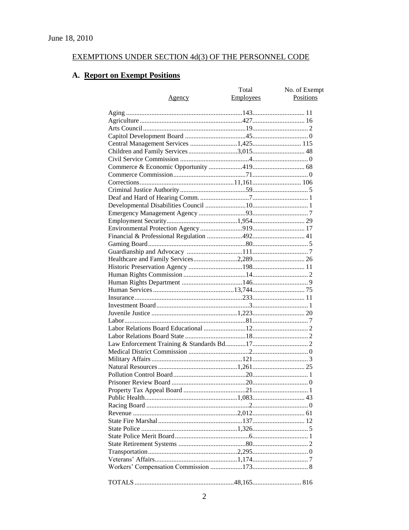# EXEMPTIONS UNDER SECTION 4d(3) OF THE PERSONNEL CODE

# A. Report on Exempt Positions

|                                       | Total            | No. of Exempt |
|---------------------------------------|------------------|---------------|
| Agency                                | <b>Employees</b> | Positions     |
|                                       |                  |               |
|                                       |                  |               |
|                                       |                  |               |
|                                       |                  |               |
|                                       |                  |               |
| Central Management Services 1,425 115 |                  |               |
| Children and Family Services 3,015 48 |                  |               |
|                                       |                  |               |
|                                       |                  |               |
|                                       |                  |               |
|                                       |                  |               |
|                                       |                  |               |
|                                       |                  |               |
|                                       |                  |               |
|                                       |                  |               |
|                                       |                  |               |
|                                       |                  |               |
|                                       |                  |               |
|                                       |                  |               |
|                                       |                  |               |
|                                       |                  |               |
|                                       |                  |               |
|                                       |                  |               |
|                                       |                  |               |
|                                       |                  |               |
|                                       |                  |               |
|                                       |                  |               |
|                                       |                  |               |
|                                       |                  |               |
|                                       |                  |               |
|                                       |                  |               |
|                                       |                  |               |
|                                       |                  |               |
|                                       |                  |               |
|                                       |                  |               |
|                                       |                  |               |
|                                       |                  |               |
|                                       |                  |               |
|                                       |                  |               |
|                                       |                  |               |
|                                       |                  |               |
|                                       |                  |               |
|                                       |                  |               |
|                                       |                  |               |
|                                       |                  |               |
|                                       |                  |               |
|                                       |                  |               |
|                                       |                  |               |
|                                       |                  |               |
|                                       |                  |               |
|                                       |                  |               |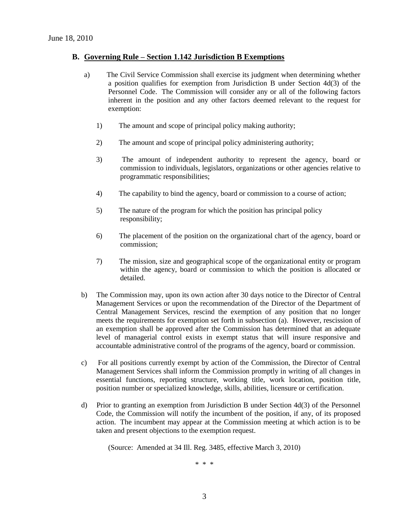### **B. Governing Rule – Section 1.142 Jurisdiction B Exemptions**

- a) The Civil Service Commission shall exercise its judgment when determining whether a position qualifies for exemption from Jurisdiction B under Section 4d(3) of the Personnel Code. The Commission will consider any or all of the following factors inherent in the position and any other factors deemed relevant to the request for exemption:
	- 1) The amount and scope of principal policy making authority;
	- 2) The amount and scope of principal policy administering authority;
	- 3) The amount of independent authority to represent the agency, board or commission to individuals, legislators, organizations or other agencies relative to programmatic responsibilities;
	- 4) The capability to bind the agency, board or commission to a course of action;
	- 5) The nature of the program for which the position has principal policy responsibility;
	- 6) The placement of the position on the organizational chart of the agency, board or commission;
	- 7) The mission, size and geographical scope of the organizational entity or program within the agency, board or commission to which the position is allocated or detailed.
- b) The Commission may, upon its own action after 30 days notice to the Director of Central Management Services or upon the recommendation of the Director of the Department of Central Management Services, rescind the exemption of any position that no longer meets the requirements for exemption set forth in subsection (a). However, rescission of an exemption shall be approved after the Commission has determined that an adequate level of managerial control exists in exempt status that will insure responsive and accountable administrative control of the programs of the agency, board or commission.
- c) For all positions currently exempt by action of the Commission, the Director of Central Management Services shall inform the Commission promptly in writing of all changes in essential functions, reporting structure, working title, work location, position title, position number or specialized knowledge, skills, abilities, licensure or certification.
- d) Prior to granting an exemption from Jurisdiction B under Section 4d(3) of the Personnel Code, the Commission will notify the incumbent of the position, if any, of its proposed action. The incumbent may appear at the Commission meeting at which action is to be taken and present objections to the exemption request.

(Source: Amended at 34 Ill. Reg. 3485, effective March 3, 2010)

\* \* \*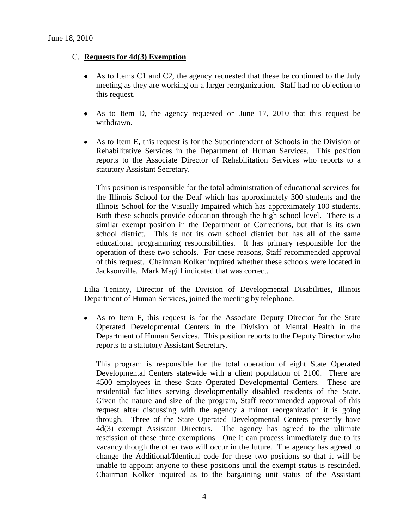### C. **Requests for 4d(3) Exemption**

- As to Items C1 and C2, the agency requested that these be continued to the July meeting as they are working on a larger reorganization. Staff had no objection to this request.
- $\bullet$ As to Item D, the agency requested on June 17, 2010 that this request be withdrawn.
- As to Item E, this request is for the Superintendent of Schools in the Division of  $\bullet$ Rehabilitative Services in the Department of Human Services. This position reports to the Associate Director of Rehabilitation Services who reports to a statutory Assistant Secretary.

This position is responsible for the total administration of educational services for the Illinois School for the Deaf which has approximately 300 students and the Illinois School for the Visually Impaired which has approximately 100 students. Both these schools provide education through the high school level. There is a similar exempt position in the Department of Corrections, but that is its own school district. This is not its own school district but has all of the same educational programming responsibilities. It has primary responsible for the operation of these two schools. For these reasons, Staff recommended approval of this request. Chairman Kolker inquired whether these schools were located in Jacksonville. Mark Magill indicated that was correct.

Lilia Teninty, Director of the Division of Developmental Disabilities, Illinois Department of Human Services, joined the meeting by telephone.

As to Item F, this request is for the Associate Deputy Director for the State Operated Developmental Centers in the Division of Mental Health in the Department of Human Services. This position reports to the Deputy Director who reports to a statutory Assistant Secretary.

This program is responsible for the total operation of eight State Operated Developmental Centers statewide with a client population of 2100. There are 4500 employees in these State Operated Developmental Centers. These are residential facilities serving developmentally disabled residents of the State. Given the nature and size of the program, Staff recommended approval of this request after discussing with the agency a minor reorganization it is going through. Three of the State Operated Developmental Centers presently have 4d(3) exempt Assistant Directors. The agency has agreed to the ultimate rescission of these three exemptions. One it can process immediately due to its vacancy though the other two will occur in the future. The agency has agreed to change the Additional/Identical code for these two positions so that it will be unable to appoint anyone to these positions until the exempt status is rescinded. Chairman Kolker inquired as to the bargaining unit status of the Assistant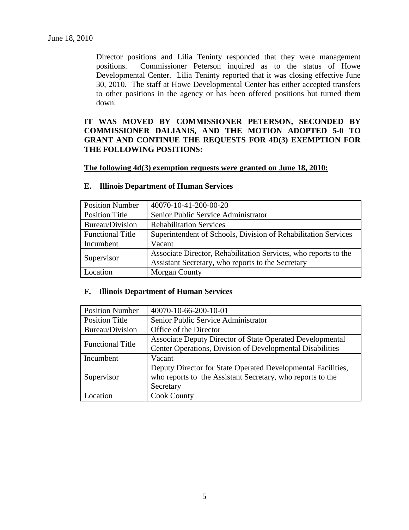Director positions and Lilia Teninty responded that they were management positions. Commissioner Peterson inquired as to the status of Howe Developmental Center. Lilia Teninty reported that it was closing effective June 30, 2010. The staff at Howe Developmental Center has either accepted transfers to other positions in the agency or has been offered positions but turned them down.

**IT WAS MOVED BY COMMISSIONER PETERSON, SECONDED BY COMMISSIONER DALIANIS, AND THE MOTION ADOPTED 5-0 TO GRANT AND CONTINUE THE REQUESTS FOR 4D(3) EXEMPTION FOR THE FOLLOWING POSITIONS:**

#### **The following 4d(3) exemption requests were granted on June 18, 2010:**

| <b>Position Number</b>  | 40070-10-41-200-00-20                                           |
|-------------------------|-----------------------------------------------------------------|
| <b>Position Title</b>   | Senior Public Service Administrator                             |
| Bureau/Division         | <b>Rehabilitation Services</b>                                  |
| <b>Functional Title</b> | Superintendent of Schools, Division of Rehabilitation Services  |
| Incumbent               | Vacant                                                          |
| Supervisor              | Associate Director, Rehabilitation Services, who reports to the |
|                         | Assistant Secretary, who reports to the Secretary               |
| Location                | <b>Morgan County</b>                                            |

#### **E. Illinois Department of Human Services**

#### **F. Illinois Department of Human Services**

| <b>Position Number</b>  | 40070-10-66-200-10-01                                        |  |
|-------------------------|--------------------------------------------------------------|--|
| <b>Position Title</b>   | Senior Public Service Administrator                          |  |
| Bureau/Division         | Office of the Director                                       |  |
| <b>Functional Title</b> | Associate Deputy Director of State Operated Developmental    |  |
|                         | Center Operations, Division of Developmental Disabilities    |  |
| Incumbent               | Vacant                                                       |  |
|                         | Deputy Director for State Operated Developmental Facilities, |  |
| Supervisor              | who reports to the Assistant Secretary, who reports to the   |  |
|                         | Secretary                                                    |  |
| Location                | <b>Cook County</b>                                           |  |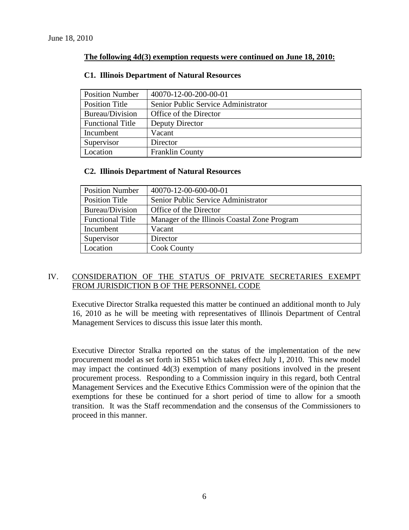### **The following 4d(3) exemption requests were continued on June 18, 2010:**

| <b>Position Number</b>  | 40070-12-00-200-00-01               |  |
|-------------------------|-------------------------------------|--|
| <b>Position Title</b>   | Senior Public Service Administrator |  |
| Bureau/Division         | Office of the Director              |  |
| <b>Functional Title</b> | Deputy Director                     |  |
| Incumbent               | Vacant                              |  |
| Supervisor              | Director                            |  |
| Location                | <b>Franklin County</b>              |  |

### **C1. Illinois Department of Natural Resources**

### **C2. Illinois Department of Natural Resources**

| <b>Position Number</b>  | 40070-12-00-600-00-01                        |  |
|-------------------------|----------------------------------------------|--|
| Position Title          | Senior Public Service Administrator          |  |
| Bureau/Division         | Office of the Director                       |  |
| <b>Functional Title</b> | Manager of the Illinois Coastal Zone Program |  |
| Incumbent               | Vacant                                       |  |
| Supervisor              | Director                                     |  |
| Location                | <b>Cook County</b>                           |  |

## IV. CONSIDERATION OF THE STATUS OF PRIVATE SECRETARIES EXEMPT FROM JURISDICTION B OF THE PERSONNEL CODE

Executive Director Stralka requested this matter be continued an additional month to July 16, 2010 as he will be meeting with representatives of Illinois Department of Central Management Services to discuss this issue later this month.

Executive Director Stralka reported on the status of the implementation of the new procurement model as set forth in SB51 which takes effect July 1, 2010. This new model may impact the continued 4d(3) exemption of many positions involved in the present procurement process. Responding to a Commission inquiry in this regard, both Central Management Services and the Executive Ethics Commission were of the opinion that the exemptions for these be continued for a short period of time to allow for a smooth transition. It was the Staff recommendation and the consensus of the Commissioners to proceed in this manner.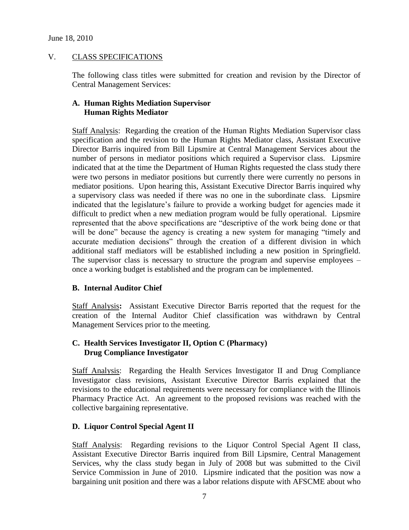## V. CLASS SPECIFICATIONS

The following class titles were submitted for creation and revision by the Director of Central Management Services:

## **A. Human Rights Mediation Supervisor Human Rights Mediator**

Staff Analysis: Regarding the creation of the Human Rights Mediation Supervisor class specification and the revision to the Human Rights Mediator class, Assistant Executive Director Barris inquired from Bill Lipsmire at Central Management Services about the number of persons in mediator positions which required a Supervisor class. Lipsmire indicated that at the time the Department of Human Rights requested the class study there were two persons in mediator positions but currently there were currently no persons in mediator positions. Upon hearing this, Assistant Executive Director Barris inquired why a supervisory class was needed if there was no one in the subordinate class. Lipsmire indicated that the legislature's failure to provide a working budget for agencies made it difficult to predict when a new mediation program would be fully operational. Lipsmire represented that the above specifications are "descriptive of the work being done or that will be done" because the agency is creating a new system for managing "timely and accurate mediation decisions" through the creation of a different division in which additional staff mediators will be established including a new position in Springfield. The supervisor class is necessary to structure the program and supervise employees – once a working budget is established and the program can be implemented.

## **B. Internal Auditor Chief**

Staff Analysis**:** Assistant Executive Director Barris reported that the request for the creation of the Internal Auditor Chief classification was withdrawn by Central Management Services prior to the meeting.

### **C. Health Services Investigator II, Option C (Pharmacy) Drug Compliance Investigator**

Staff Analysis: Regarding the Health Services Investigator II and Drug Compliance Investigator class revisions, Assistant Executive Director Barris explained that the revisions to the educational requirements were necessary for compliance with the Illinois Pharmacy Practice Act. An agreement to the proposed revisions was reached with the collective bargaining representative.

### **D. Liquor Control Special Agent II**

Staff Analysis: Regarding revisions to the Liquor Control Special Agent II class, Assistant Executive Director Barris inquired from Bill Lipsmire, Central Management Services, why the class study began in July of 2008 but was submitted to the Civil Service Commission in June of 2010. Lipsmire indicated that the position was now a bargaining unit position and there was a labor relations dispute with AFSCME about who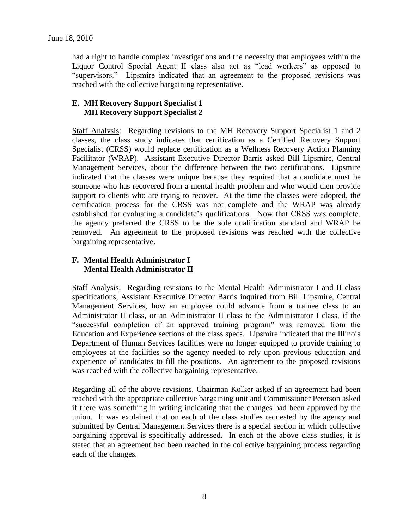had a right to handle complex investigations and the necessity that employees within the Liquor Control Special Agent II class also act as "lead workers" as opposed to "supervisors." Lipsmire indicated that an agreement to the proposed revisions was reached with the collective bargaining representative.

## **E. MH Recovery Support Specialist 1 MH Recovery Support Specialist 2**

Staff Analysis: Regarding revisions to the MH Recovery Support Specialist 1 and 2 classes, the class study indicates that certification as a Certified Recovery Support Specialist (CRSS) would replace certification as a Wellness Recovery Action Planning Facilitator (WRAP). Assistant Executive Director Barris asked Bill Lipsmire, Central Management Services, about the difference between the two certifications. Lipsmire indicated that the classes were unique because they required that a candidate must be someone who has recovered from a mental health problem and who would then provide support to clients who are trying to recover. At the time the classes were adopted, the certification process for the CRSS was not complete and the WRAP was already established for evaluating a candidate's qualifications. Now that CRSS was complete, the agency preferred the CRSS to be the sole qualification standard and WRAP be removed. An agreement to the proposed revisions was reached with the collective bargaining representative.

### **F. Mental Health Administrator I Mental Health Administrator II**

Staff Analysis: Regarding revisions to the Mental Health Administrator I and II class specifications, Assistant Executive Director Barris inquired from Bill Lipsmire, Central Management Services, how an employee could advance from a trainee class to an Administrator II class, or an Administrator II class to the Administrator I class, if the "successful completion of an approved training program" was removed from the Education and Experience sections of the class specs. Lipsmire indicated that the Illinois Department of Human Services facilities were no longer equipped to provide training to employees at the facilities so the agency needed to rely upon previous education and experience of candidates to fill the positions. An agreement to the proposed revisions was reached with the collective bargaining representative.

Regarding all of the above revisions, Chairman Kolker asked if an agreement had been reached with the appropriate collective bargaining unit and Commissioner Peterson asked if there was something in writing indicating that the changes had been approved by the union. It was explained that on each of the class studies requested by the agency and submitted by Central Management Services there is a special section in which collective bargaining approval is specifically addressed. In each of the above class studies, it is stated that an agreement had been reached in the collective bargaining process regarding each of the changes.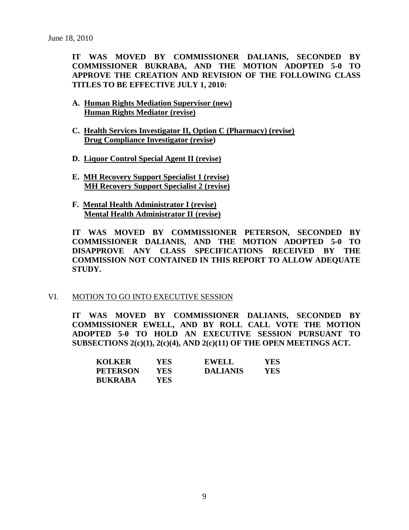**IT WAS MOVED BY COMMISSIONER DALIANIS, SECONDED BY COMMISSIONER BUKRABA, AND THE MOTION ADOPTED 5-0 TO APPROVE THE CREATION AND REVISION OF THE FOLLOWING CLASS TITLES TO BE EFFECTIVE JULY 1, 2010:**

- **A. Human Rights Mediation Supervisor (new) Human Rights Mediator (revise)**
- **C. Health Services Investigator II, Option C (Pharmacy) (revise) Drug Compliance Investigator (revise)**
- **D. Liquor Control Special Agent II (revise)**
- **E. MH Recovery Support Specialist 1 (revise) MH Recovery Support Specialist 2 (revise)**
- **F. Mental Health Administrator I (revise) Mental Health Administrator II (revise)**

**IT WAS MOVED BY COMMISSIONER PETERSON, SECONDED BY COMMISSIONER DALIANIS, AND THE MOTION ADOPTED 5-0 TO DISAPPROVE ANY CLASS SPECIFICATIONS RECEIVED BY THE COMMISSION NOT CONTAINED IN THIS REPORT TO ALLOW ADEQUATE STUDY.** 

#### VI. MOTION TO GO INTO EXECUTIVE SESSION

**IT WAS MOVED BY COMMISSIONER DALIANIS, SECONDED BY COMMISSIONER EWELL, AND BY ROLL CALL VOTE THE MOTION ADOPTED 5-0 TO HOLD AN EXECUTIVE SESSION PURSUANT TO SUBSECTIONS 2(c)(1), 2(c)(4), AND 2(c)(11) OF THE OPEN MEETINGS ACT.** 

| <b>KOLKER</b>   | YES        | <b>EWELL</b>    | <b>YES</b> |
|-----------------|------------|-----------------|------------|
| <b>PETERSON</b> | YES.       | <b>DALIANIS</b> | YES        |
| <b>BUKRABA</b>  | <b>YES</b> |                 |            |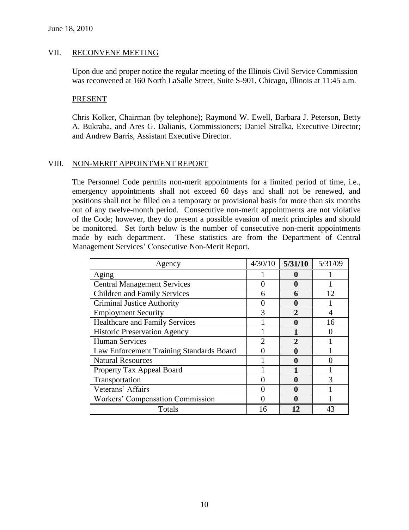#### VII. RECONVENE MEETING

Upon due and proper notice the regular meeting of the Illinois Civil Service Commission was reconvened at 160 North LaSalle Street, Suite S-901, Chicago, Illinois at 11:45 a.m.

#### PRESENT

Chris Kolker, Chairman (by telephone); Raymond W. Ewell, Barbara J. Peterson, Betty A. Bukraba, and Ares G. Dalianis, Commissioners; Daniel Stralka, Executive Director; and Andrew Barris, Assistant Executive Director.

### VIII. NON-MERIT APPOINTMENT REPORT

The Personnel Code permits non-merit appointments for a limited period of time, i.e., emergency appointments shall not exceed 60 days and shall not be renewed, and positions shall not be filled on a temporary or provisional basis for more than six months out of any twelve-month period. Consecutive non-merit appointments are not violative of the Code; however, they do present a possible evasion of merit principles and should be monitored. Set forth below is the number of consecutive non-merit appointments made by each department. These statistics are from the Department of Central Management Services' Consecutive Non-Merit Report.

| Agency                                   | 4/30/10        | 5/31/10               | 5/31/09       |
|------------------------------------------|----------------|-----------------------|---------------|
| Aging                                    |                |                       |               |
| <b>Central Management Services</b>       | ( )            |                       |               |
| <b>Children and Family Services</b>      | 6              | 6                     | 12            |
| <b>Criminal Justice Authority</b>        |                |                       |               |
| <b>Employment Security</b>               | 3              | $\mathcal{D}_{\cdot}$ | 4             |
| <b>Healthcare and Family Services</b>    |                |                       | 16            |
| <b>Historic Preservation Agency</b>      |                |                       |               |
| <b>Human Services</b>                    | $\overline{2}$ | っ                     |               |
| Law Enforcement Training Standards Board | 0              |                       |               |
| <b>Natural Resources</b>                 |                |                       |               |
| Property Tax Appeal Board                |                |                       |               |
| Transportation                           |                |                       | $\mathcal{R}$ |
| Veterans' Affairs                        |                |                       |               |
| <b>Workers' Compensation Commission</b>  |                |                       |               |
| Totals                                   | 16             | 12                    | 43            |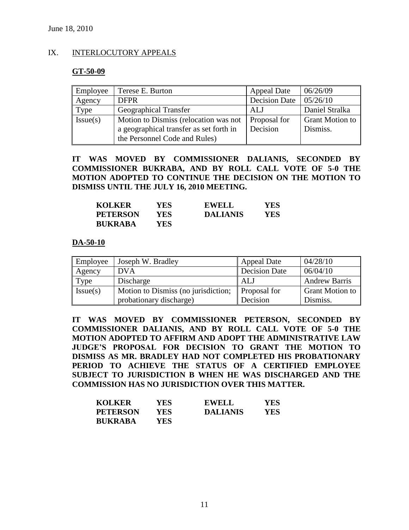### IX. INTERLOCUTORY APPEALS

#### **GT-50-09**

| Employee | Terese E. Burton                                                                                                  | <b>Appeal Date</b>              | 06/26/09                           |
|----------|-------------------------------------------------------------------------------------------------------------------|---------------------------------|------------------------------------|
| Agency   | <b>DFPR</b>                                                                                                       | <b>Decision Date</b>            | 05/26/10                           |
| Type     | <b>Geographical Transfer</b>                                                                                      | ALJ                             | Daniel Stralka                     |
| Issue(s) | Motion to Dismiss (relocation was not<br>a geographical transfer as set forth in<br>the Personnel Code and Rules) | <b>Proposal for</b><br>Decision | <b>Grant Motion to</b><br>Dismiss. |

**IT WAS MOVED BY COMMISSIONER DALIANIS, SECONDED BY COMMISSIONER BUKRABA, AND BY ROLL CALL VOTE OF 5-0 THE MOTION ADOPTED TO CONTINUE THE DECISION ON THE MOTION TO DISMISS UNTIL THE JULY 16, 2010 MEETING.** 

| <b>KOLKER</b>   | YES. | <b>EWELL</b>    | YES |
|-----------------|------|-----------------|-----|
| <b>PETERSON</b> | YES. | <b>DALIANIS</b> | YES |
| <b>BUKRABA</b>  | YES  |                 |     |

#### **DA-50-10**

| Employee | Joseph W. Bradley                   | <b>Appeal Date</b>  | 04/28/10               |
|----------|-------------------------------------|---------------------|------------------------|
| Agency   | <b>DVA</b>                          | Decision Date       | 06/04/10               |
| Type     | Discharge                           | AL J                | <b>Andrew Barris</b>   |
| Issue(s) | Motion to Dismiss (no jurisdiction; | <b>Proposal for</b> | <b>Grant Motion to</b> |
|          | probationary discharge)             | Decision            | Dismiss.               |

**IT WAS MOVED BY COMMISSIONER PETERSON, SECONDED BY COMMISSIONER DALIANIS, AND BY ROLL CALL VOTE OF 5-0 THE MOTION ADOPTED TO AFFIRM AND ADOPT THE ADMINISTRATIVE LAW JUDGE'S PROPOSAL FOR DECISION TO GRANT THE MOTION TO DISMISS AS MR. BRADLEY HAD NOT COMPLETED HIS PROBATIONARY PERIOD TO ACHIEVE THE STATUS OF A CERTIFIED EMPLOYEE SUBJECT TO JURISDICTION B WHEN HE WAS DISCHARGED AND THE COMMISSION HAS NO JURISDICTION OVER THIS MATTER.** 

| <b>KOLKER</b>   | YES  | <b>EWELL</b>    | <b>YES</b> |
|-----------------|------|-----------------|------------|
| <b>PETERSON</b> | YES. | <b>DALIANIS</b> | YES        |
| <b>BUKRABA</b>  | YES. |                 |            |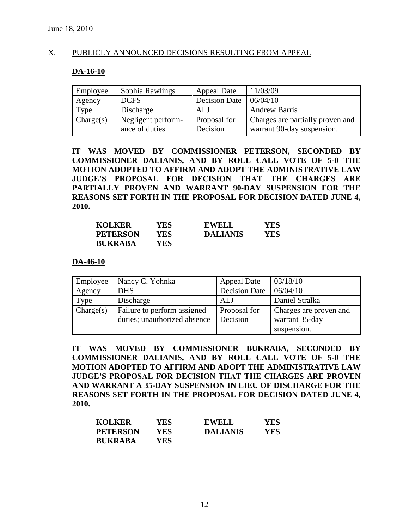### X. PUBLICLY ANNOUNCED DECISIONS RESULTING FROM APPEAL

### **DA-16-10**

| Employee  | Sophia Rawlings                      | <b>Appeal Date</b>       | 11/03/09                                                       |
|-----------|--------------------------------------|--------------------------|----------------------------------------------------------------|
| Agency    | <b>DCFS</b>                          | <b>Decision Date</b>     | 06/04/10                                                       |
| Type      | Discharge                            | <b>ALJ</b>               | <b>Andrew Barris</b>                                           |
| Change(s) | Negligent perform-<br>ance of duties | Proposal for<br>Decision | Charges are partially proven and<br>warrant 90-day suspension. |

**IT WAS MOVED BY COMMISSIONER PETERSON, SECONDED BY COMMISSIONER DALIANIS, AND BY ROLL CALL VOTE OF 5-0 THE MOTION ADOPTED TO AFFIRM AND ADOPT THE ADMINISTRATIVE LAW JUDGE'S PROPOSAL FOR DECISION THAT THE CHARGES ARE PARTIALLY PROVEN AND WARRANT 90-DAY SUSPENSION FOR THE REASONS SET FORTH IN THE PROPOSAL FOR DECISION DATED JUNE 4, 2010.**

| <b>KOLKER</b>   | YES  | <b>EWELL</b>    | YES |
|-----------------|------|-----------------|-----|
| <b>PETERSON</b> | YES. | <b>DALIANIS</b> | YES |
| <b>BUKRABA</b>  | YES. |                 |     |

**DA-46-10**

| Employee  | Nancy C. Yohnka                                             | <b>Appeal Date</b>       | 03/18/10                                 |
|-----------|-------------------------------------------------------------|--------------------------|------------------------------------------|
| Agency    | <b>DHS</b>                                                  | <b>Decision Date</b>     | 06/04/10                                 |
| Type      | Discharge                                                   | ALJ                      | Daniel Stralka                           |
| Change(s) | Failure to perform assigned<br>duties; unauthorized absence | Proposal for<br>Decision | Charges are proven and<br>warrant 35-day |
|           |                                                             |                          | suspension.                              |

**IT WAS MOVED BY COMMISSIONER BUKRABA, SECONDED BY COMMISSIONER DALIANIS, AND BY ROLL CALL VOTE OF 5-0 THE MOTION ADOPTED TO AFFIRM AND ADOPT THE ADMINISTRATIVE LAW JUDGE'S PROPOSAL FOR DECISION THAT THE CHARGES ARE PROVEN AND WARRANT A 35-DAY SUSPENSION IN LIEU OF DISCHARGE FOR THE REASONS SET FORTH IN THE PROPOSAL FOR DECISION DATED JUNE 4, 2010.** 

| <b>KOLKER</b>   | YES. | <b>EWELL</b>    | <b>YES</b> |
|-----------------|------|-----------------|------------|
| <b>PETERSON</b> | YES  | <b>DALIANIS</b> | YES        |
| <b>BUKRABA</b>  | YES. |                 |            |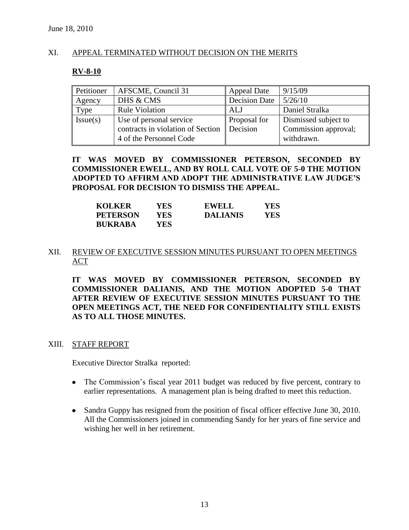### XI. APPEAL TERMINATED WITHOUT DECISION ON THE MERITS

### **RV-8-10**

| Petitioner | AFSCME, Council 31                                           | <b>Appeal Date</b>       | 9/15/09                                      |
|------------|--------------------------------------------------------------|--------------------------|----------------------------------------------|
| Agency     | DHS & CMS                                                    | <b>Decision Date</b>     | 5/26/10                                      |
| Type       | <b>Rule Violation</b>                                        | AL J                     | Daniel Stralka                               |
| Issue(s)   | Use of personal service<br>contracts in violation of Section | Proposal for<br>Decision | Dismissed subject to<br>Commission approval; |
|            | 4 of the Personnel Code                                      |                          | withdrawn.                                   |

### **IT WAS MOVED BY COMMISSIONER PETERSON, SECONDED BY COMMISSIONER EWELL, AND BY ROLL CALL VOTE OF 5-0 THE MOTION ADOPTED TO AFFIRM AND ADOPT THE ADMINISTRATIVE LAW JUDGE'S PROPOSAL FOR DECISION TO DISMISS THE APPEAL.**

| <b>KOLKER</b>   | YES  | <b>EWELL</b>    | YES |
|-----------------|------|-----------------|-----|
| <b>PETERSON</b> | YES  | <b>DALIANIS</b> | YES |
| <b>BUKRABA</b>  | YES. |                 |     |

### XII. REVIEW OF EXECUTIVE SESSION MINUTES PURSUANT TO OPEN MEETINGS ACT

**IT WAS MOVED BY COMMISSIONER PETERSON, SECONDED BY COMMISSIONER DALIANIS, AND THE MOTION ADOPTED 5-0 THAT AFTER REVIEW OF EXECUTIVE SESSION MINUTES PURSUANT TO THE OPEN MEETINGS ACT, THE NEED FOR CONFIDENTIALITY STILL EXISTS AS TO ALL THOSE MINUTES.**

### XIII. STAFF REPORT

Executive Director Stralka reported:

- The Commission's fiscal year 2011 budget was reduced by five percent, contrary to earlier representations. A management plan is being drafted to meet this reduction.
- Sandra Guppy has resigned from the position of fiscal officer effective June 30, 2010. All the Commissioners joined in commending Sandy for her years of fine service and wishing her well in her retirement.